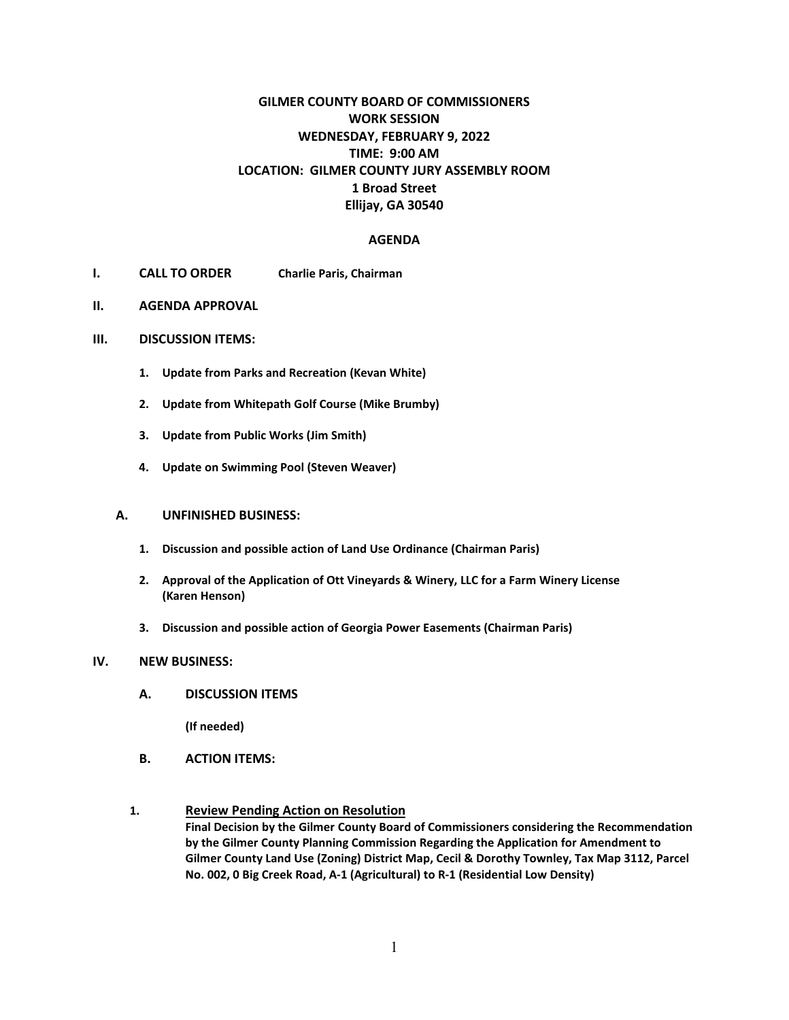# **GILMER COUNTY BOARD OF COMMISSIONERS WORK SESSION WEDNESDAY, FEBRUARY 9, 2022 TIME: 9:00 AM LOCATION: GILMER COUNTY JURY ASSEMBLY ROOM 1 Broad Street Ellijay, GA 30540**

#### **AGENDA**

- **I. CALL TO ORDER Charlie Paris, Chairman**
- **II. AGENDA APPROVAL**

#### **III. DISCUSSION ITEMS:**

- **1. Update from Parks and Recreation (Kevan White)**
- **2. Update from Whitepath Golf Course (Mike Brumby)**
- **3. Update from Public Works (Jim Smith)**
- **4. Update on Swimming Pool (Steven Weaver)**

#### **A. UNFINISHED BUSINESS:**

- **1. Discussion and possible action of Land Use Ordinance (Chairman Paris)**
- **2. Approval of the Application of Ott Vineyards & Winery, LLC for a Farm Winery License (Karen Henson)**
- **3. Discussion and possible action of Georgia Power Easements (Chairman Paris)**

#### **IV. NEW BUSINESS:**

**A. DISCUSSION ITEMS**

**(If needed)**

- **B. ACTION ITEMS:**
- **1. Review Pending Action on Resolution Final Decision by the Gilmer County Board of Commissioners considering the Recommendation by the Gilmer County Planning Commission Regarding the Application for Amendment to Gilmer County Land Use (Zoning) District Map, Cecil & Dorothy Townley, Tax Map 3112, Parcel No. 002, 0 Big Creek Road, A-1 (Agricultural) to R-1 (Residential Low Density)**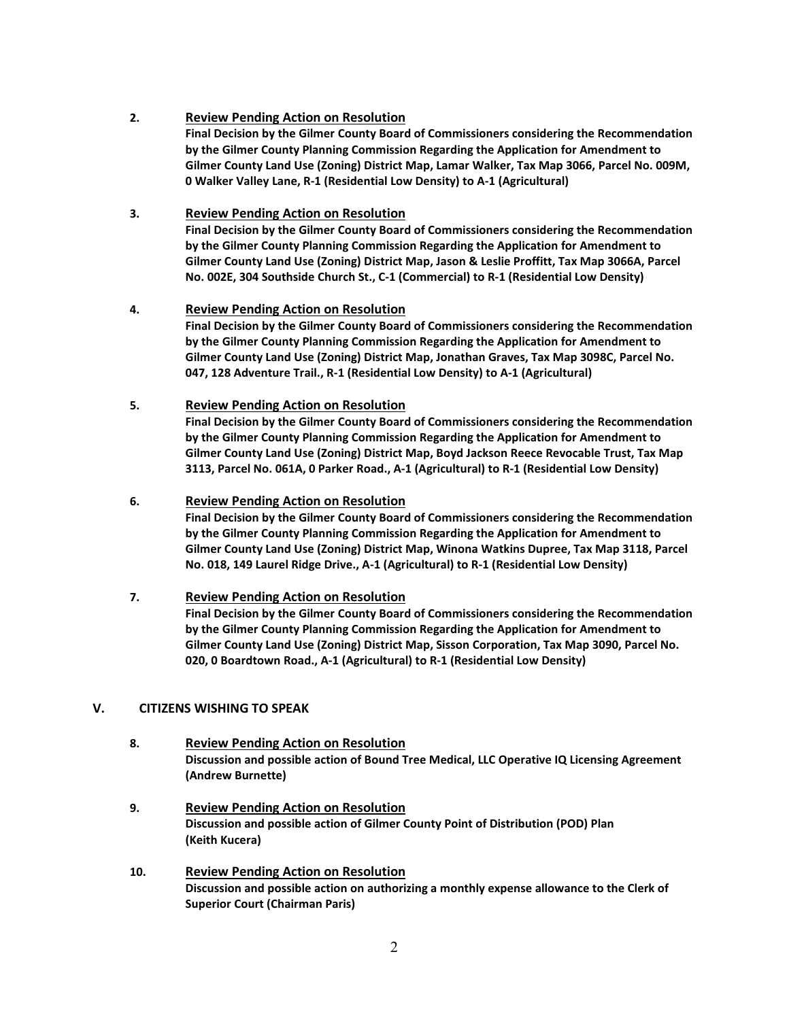### **2. Review Pending Action on Resolution**

**Final Decision by the Gilmer County Board of Commissioners considering the Recommendation by the Gilmer County Planning Commission Regarding the Application for Amendment to Gilmer County Land Use (Zoning) District Map, Lamar Walker, Tax Map 3066, Parcel No. 009M, 0 Walker Valley Lane, R-1 (Residential Low Density) to A-1 (Agricultural)**

# **3. Review Pending Action on Resolution**

**Final Decision by the Gilmer County Board of Commissioners considering the Recommendation by the Gilmer County Planning Commission Regarding the Application for Amendment to Gilmer County Land Use (Zoning) District Map, Jason & Leslie Proffitt, Tax Map 3066A, Parcel No. 002E, 304 Southside Church St., C-1 (Commercial) to R-1 (Residential Low Density)**

### **4. Review Pending Action on Resolution**

**Final Decision by the Gilmer County Board of Commissioners considering the Recommendation by the Gilmer County Planning Commission Regarding the Application for Amendment to Gilmer County Land Use (Zoning) District Map, Jonathan Graves, Tax Map 3098C, Parcel No. 047, 128 Adventure Trail., R-1 (Residential Low Density) to A-1 (Agricultural)**

### **5. Review Pending Action on Resolution**

**Final Decision by the Gilmer County Board of Commissioners considering the Recommendation by the Gilmer County Planning Commission Regarding the Application for Amendment to Gilmer County Land Use (Zoning) District Map, Boyd Jackson Reece Revocable Trust, Tax Map 3113, Parcel No. 061A, 0 Parker Road., A-1 (Agricultural) to R-1 (Residential Low Density)**

### **6. Review Pending Action on Resolution**

**Final Decision by the Gilmer County Board of Commissioners considering the Recommendation by the Gilmer County Planning Commission Regarding the Application for Amendment to Gilmer County Land Use (Zoning) District Map, Winona Watkins Dupree, Tax Map 3118, Parcel No. 018, 149 Laurel Ridge Drive., A-1 (Agricultural) to R-1 (Residential Low Density)**

# **7. Review Pending Action on Resolution**

**Final Decision by the Gilmer County Board of Commissioners considering the Recommendation by the Gilmer County Planning Commission Regarding the Application for Amendment to Gilmer County Land Use (Zoning) District Map, Sisson Corporation, Tax Map 3090, Parcel No. 020, 0 Boardtown Road., A-1 (Agricultural) to R-1 (Residential Low Density)**

# **V. CITIZENS WISHING TO SPEAK**

- **8. Review Pending Action on Resolution Discussion and possible action of Bound Tree Medical, LLC Operative IQ Licensing Agreement (Andrew Burnette)**
- **9. Review Pending Action on Resolution Discussion and possible action of Gilmer County Point of Distribution (POD) Plan (Keith Kucera)**
- **10. Review Pending Action on Resolution Discussion and possible action on authorizing a monthly expense allowance to the Clerk of Superior Court (Chairman Paris)**